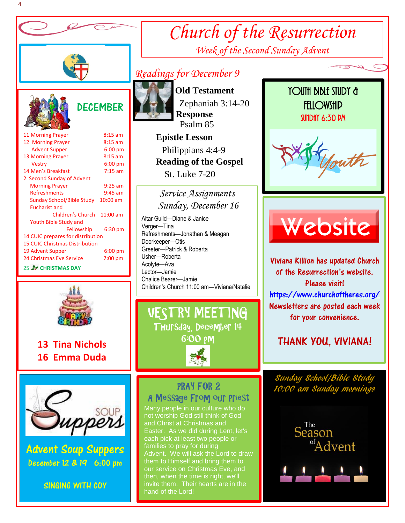

# **DECEMBER**

| 11 Morning Prayer                     | $8:15$ am  |  |  |  |  |
|---------------------------------------|------------|--|--|--|--|
| 12 Morning Prayer                     | $8:15$ am  |  |  |  |  |
| <b>Advent Supper</b>                  | $6:00$ pm  |  |  |  |  |
| <b>13 Morning Prayer</b>              | $8:15$ am  |  |  |  |  |
| <b>Vestry</b>                         | $6:00$ pm  |  |  |  |  |
| 14 Men's Breakfast                    | $7:15$ am  |  |  |  |  |
| 2 Second Sunday of Advent             |            |  |  |  |  |
| <b>Morning Prayer</b>                 | $9:25$ am  |  |  |  |  |
| Refreshments                          | $9:45$ am  |  |  |  |  |
| Sunday School/Bible Study             | $10:00$ am |  |  |  |  |
| <b>Eucharist and</b>                  |            |  |  |  |  |
| Children's Church                     | 11:00 am   |  |  |  |  |
| Youth Bible Study and                 |            |  |  |  |  |
| Fellowship                            | $6:30$ pm  |  |  |  |  |
| 14 CUIC prepares for distribution     |            |  |  |  |  |
| <b>15 CUIC Christmas Distribution</b> |            |  |  |  |  |
| 19 Advent Supper                      | $6:00$ pm  |  |  |  |  |
| 24 Christmas Eve Service              | 7:00 pm    |  |  |  |  |
|                                       |            |  |  |  |  |

**25 W CHRISTMAS DAY** 



 **13 Tina Nichols 16 Emma Duda**



Advent Soup Suppers December 12 & 19 6:00 pm



## *Readings for December 9*



 **Old Testament** Zephaniah 3:14-20  **Response** Psalm 85  **Epistle Lesson**

*Church of the Resurrection*

*Week of the Second Sunday Advent*

 Philippians 4:4-9  **Reading of the Gospel**  St. Luke 7-20

*Service Assignments Sunday, December 16*

 Altar Guild—Diane & Janice Children's Church 11:00 am—Viviana/Natalie Verger—Tina Refreshments—Jonathan & Meagan Doorkeeper—Otis Greeter—Patrick & Roberta Usher—Roberta Acolyte—Ava Lector—Jamie Chalice Bearer—Jamie 



### **Thursday, PRAY FOR 2** A Message From our Priest

Many people in our culture who do not worship God still think of God and Christ at Christmas and Easter. As we did during Lent, let's each pick at least two people or families to pray for during Advent. We will ask the Lord to draw them to Himself and bring them to our service on Christmas Eve, and then, when the time is right, we'll hand of the Lord!

## YOUTH BIBLE STUDY & **FELLOWSHIP** SUNDAY 6:30 PM





j

Viviana Killion has updated Church of the Resurrection's website. Please visit! <https://www.churchoftheres.org/> Newsletters are posted each week for your convenience.

## THANK YOU, VIVIANA!

Sunday School/Bible Stu 10:00 am Sunday mornings



 $\overline{\phantom{a}}$ 

ľ

I

I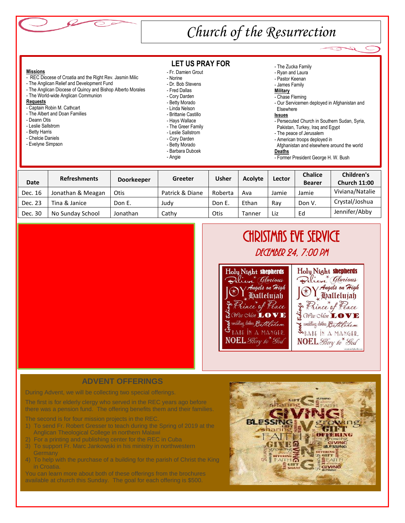

# *Church of the Resurrection*

#### **Missions**

- REC Diocese of Croatia and the Right Rev. Jasmin Milic
- The Anglican Relief and Development Fund
- The Anglican Diocese of Quincy and Bishop Alberto Morales
- The World-wide Anglican Communion

#### **Requests**

- Captain Robin M. Cathcart
- The Albert and Doan Families
- Deann Otis
- Leslie Sallstrom
- Betty Harris
- Chelcie Daniels
- Evelyne Simpson

**LET US PRAY FOR**

- Fr. Damien Grout
- Norine
- Dr. Bob Stevens
- Fred Dallas
- Cory Darden
- Betty Morado
- Linda Nelson - Brittanie Castillo
- Hays Wallace
- The Greer Family
- Leslie Sallstrom
- Cory Darden
- Betty Morado
- Barbara Dubcek
- Angie
- The Zucka Family
- Ryan and Laura
- Pastor Keenan
- James Family
- **Military**
- Chase Fleming
- Our Servicemen deployed in Afghanistan and

I

Elsewhere

### **Issues**

- Persecuted Church in Southern Sudan, Syria, Pakistan, Turkey, Iraq and Egypt
- The peace of Jerusalem
- American troops deployed in
- Afghanistan and elsewhere around the world

### **Deaths**

- Former President George H. W. Bush

|             | <b>Refreshments</b> | <b>Doorkeeper</b> | Greeter         | Usher       | <b>Acolyte</b> | Lector | <b>Chalice</b> | Children's          |
|-------------|---------------------|-------------------|-----------------|-------------|----------------|--------|----------------|---------------------|
| <b>Date</b> |                     |                   |                 |             |                |        | <b>Bearer</b>  | <b>Church 11:00</b> |
| Dec. 16     | Jonathan & Meagan   | Otis              | Patrick & Diane | Roberta     | Ava            | Jamie  | Jamie          | Viviana/Natalie     |
| Dec. 23     | Tina & Janice       | Don E.            | Judv            | Don E.      | Ethan          | Rav    | Don V.         | Crystal/Joshua      |
| Dec. 30     | No Sunday School    | Jonathan          | Cathy           | <b>Otis</b> | Tanner         | Liz    | Ed             | Jennifer/Abby       |



# CHRISTMAS EVE SERVICE DECEMBER 24, 7:00 PM



### **ADVENT OFFERINGS**

During Advent, we will be collecting two special offerings.

The first is for elderly clergy who served in the REC years ago before there was a pension fund. The offering benefits them and their families.

The second is for four mission projects in the REC.

- 1) To send Fr. Robert Gresser to teach during the Spring of 2019 at the Anglican Theological College in northern Malawi
- 2) For a printing and publishing center for the REC in Cuba
- 3) To support Fr. Marc Jankowski in his ministry in northwestern **Germany**
- 4) To help with the purchase of a building for the parish of Christ the King in Croatia.

You can learn more about both of these offerings from the brochures available at church this Sunday. The goal for each offering is \$500.